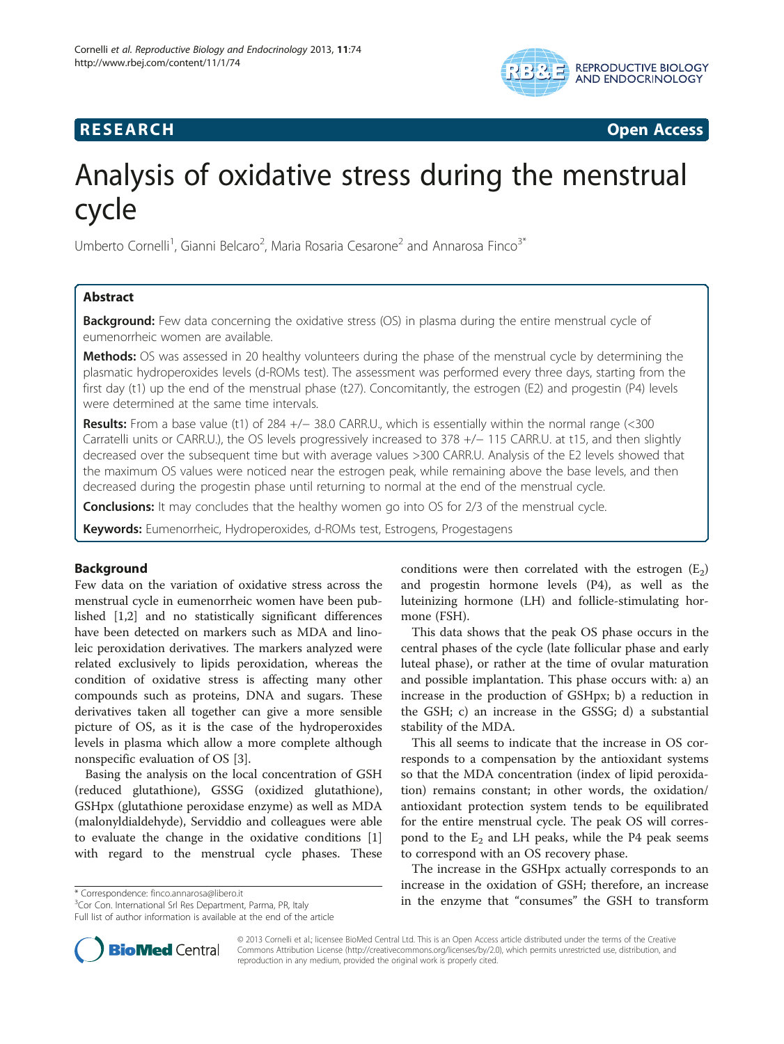

# **RESEARCH CHINESE ARCH CHINESE ARCH CHINESE ARCH**

# Analysis of oxidative stress during the menstrual cycle

Umberto Cornelli<sup>1</sup>, Gianni Belcaro<sup>2</sup>, Maria Rosaria Cesarone<sup>2</sup> and Annarosa Finco<sup>3\*</sup>

# Abstract

**Background:** Few data concerning the oxidative stress (OS) in plasma during the entire menstrual cycle of eumenorrheic women are available.

Methods: OS was assessed in 20 healthy volunteers during the phase of the menstrual cycle by determining the plasmatic hydroperoxides levels (d-ROMs test). The assessment was performed every three days, starting from the first day (t1) up the end of the menstrual phase (t27). Concomitantly, the estrogen (E2) and progestin (P4) levels were determined at the same time intervals.

Results: From a base value (t1) of 284 +/− 38.0 CARR.U., which is essentially within the normal range (<300 Carratelli units or CARR.U.), the OS levels progressively increased to 378 +/− 115 CARR.U. at t15, and then slightly decreased over the subsequent time but with average values >300 CARR.U. Analysis of the E2 levels showed that the maximum OS values were noticed near the estrogen peak, while remaining above the base levels, and then decreased during the progestin phase until returning to normal at the end of the menstrual cycle.

**Conclusions:** It may concludes that the healthy women go into OS for 2/3 of the menstrual cycle.

Keywords: Eumenorrheic, Hydroperoxides, d-ROMs test, Estrogens, Progestagens

# Background

Few data on the variation of oxidative stress across the menstrual cycle in eumenorrheic women have been published [[1,2\]](#page-4-0) and no statistically significant differences have been detected on markers such as MDA and linoleic peroxidation derivatives. The markers analyzed were related exclusively to lipids peroxidation, whereas the condition of oxidative stress is affecting many other compounds such as proteins, DNA and sugars. These derivatives taken all together can give a more sensible picture of OS, as it is the case of the hydroperoxides levels in plasma which allow a more complete although nonspecific evaluation of OS [\[3](#page-4-0)].

Basing the analysis on the local concentration of GSH (reduced glutathione), GSSG (oxidized glutathione), GSHpx (glutathione peroxidase enzyme) as well as MDA (malonyldialdehyde), Serviddio and colleagues were able to evaluate the change in the oxidative conditions [\[1](#page-4-0)] with regard to the menstrual cycle phases. These

Full list of author information is available at the end of the article

conditions were then correlated with the estrogen  $(E_2)$ and progestin hormone levels (P4), as well as the luteinizing hormone (LH) and follicle-stimulating hormone (FSH).

This data shows that the peak OS phase occurs in the central phases of the cycle (late follicular phase and early luteal phase), or rather at the time of ovular maturation and possible implantation. This phase occurs with: a) an increase in the production of GSHpx; b) a reduction in the GSH; c) an increase in the GSSG; d) a substantial stability of the MDA.

This all seems to indicate that the increase in OS corresponds to a compensation by the antioxidant systems so that the MDA concentration (index of lipid peroxidation) remains constant; in other words, the oxidation/ antioxidant protection system tends to be equilibrated for the entire menstrual cycle. The peak OS will correspond to the  $E_2$  and LH peaks, while the P4 peak seems to correspond with an OS recovery phase.

The increase in the GSHpx actually corresponds to an increase in the oxidation of GSH; therefore, an increase in the enzyme that "consumes" the GSH to transform \* Correspondence: [finco.annarosa@libero.it](mailto:finco.annarosa@libero.it) <sup>3</sup>



© 2013 Cornelli et al.; licensee BioMed Central Ltd. This is an Open Access article distributed under the terms of the Creative Commons Attribution License [\(http://creativecommons.org/licenses/by/2.0\)](http://creativecommons.org/licenses/by/2.0), which permits unrestricted use, distribution, and reproduction in any medium, provided the original work is properly cited.

<sup>&</sup>lt;sup>3</sup>Cor Con. International Srl Res Department, Parma, PR, Italy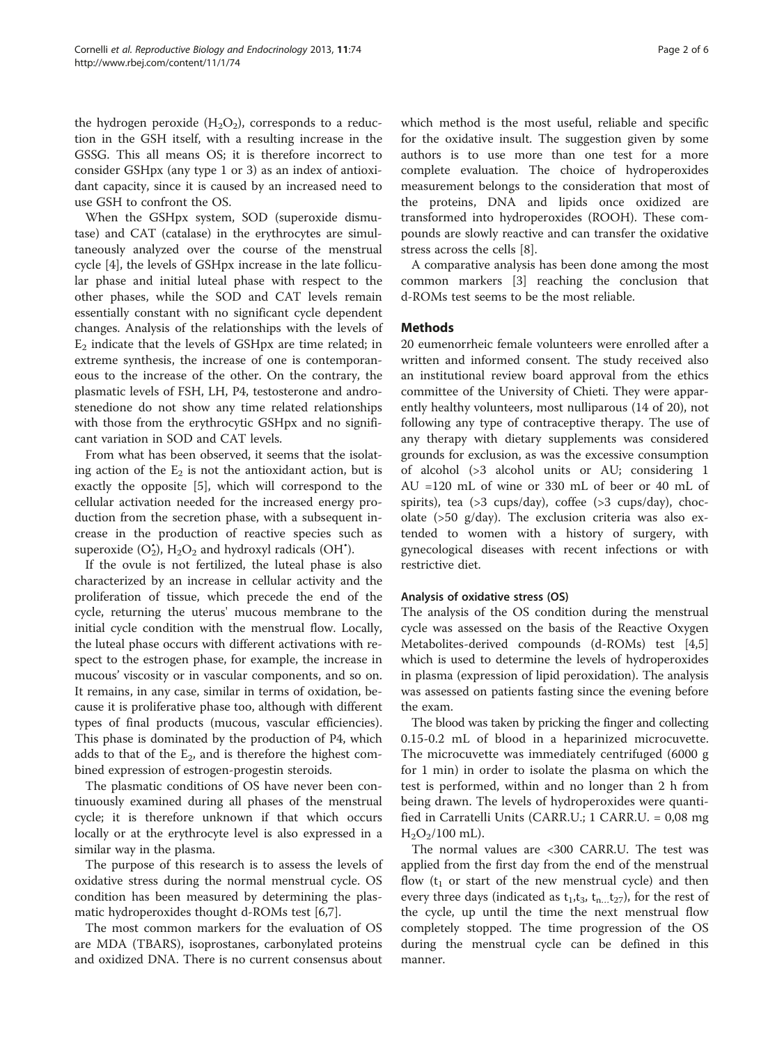the hydrogen peroxide  $(H_2O_2)$ , corresponds to a reduction in the GSH itself, with a resulting increase in the GSSG. This all means OS; it is therefore incorrect to consider GSHpx (any type 1 or 3) as an index of antioxidant capacity, since it is caused by an increased need to use GSH to confront the OS.

When the GSHpx system, SOD (superoxide dismutase) and CAT (catalase) in the erythrocytes are simultaneously analyzed over the course of the menstrual cycle [[4\]](#page-4-0), the levels of GSHpx increase in the late follicular phase and initial luteal phase with respect to the other phases, while the SOD and CAT levels remain essentially constant with no significant cycle dependent changes. Analysis of the relationships with the levels of  $E<sub>2</sub>$  indicate that the levels of GSHpx are time related; in extreme synthesis, the increase of one is contemporaneous to the increase of the other. On the contrary, the plasmatic levels of FSH, LH, P4, testosterone and androstenedione do not show any time related relationships with those from the erythrocytic GSHpx and no significant variation in SOD and CAT levels.

From what has been observed, it seems that the isolating action of the  $E_2$  is not the antioxidant action, but is exactly the opposite [[5\]](#page-4-0), which will correspond to the cellular activation needed for the increased energy production from the secretion phase, with a subsequent increase in the production of reactive species such as superoxide  $(O_2^{\star})$ ,  $H_2O_2$  and hydroxyl radicals (OH<sup>\*</sup>).

If the ovule is not fertilized, the luteal phase is also characterized by an increase in cellular activity and the proliferation of tissue, which precede the end of the cycle, returning the uterus' mucous membrane to the initial cycle condition with the menstrual flow. Locally, the luteal phase occurs with different activations with respect to the estrogen phase, for example, the increase in mucous' viscosity or in vascular components, and so on. It remains, in any case, similar in terms of oxidation, because it is proliferative phase too, although with different types of final products (mucous, vascular efficiencies). This phase is dominated by the production of P4, which adds to that of the  $E_2$ , and is therefore the highest combined expression of estrogen-progestin steroids.

The plasmatic conditions of OS have never been continuously examined during all phases of the menstrual cycle; it is therefore unknown if that which occurs locally or at the erythrocyte level is also expressed in a similar way in the plasma.

The purpose of this research is to assess the levels of oxidative stress during the normal menstrual cycle. OS condition has been measured by determining the plasmatic hydroperoxides thought d-ROMs test [\[6,7](#page-4-0)].

The most common markers for the evaluation of OS are MDA (TBARS), isoprostanes, carbonylated proteins and oxidized DNA. There is no current consensus about

which method is the most useful, reliable and specific for the oxidative insult. The suggestion given by some authors is to use more than one test for a more complete evaluation. The choice of hydroperoxides measurement belongs to the consideration that most of the proteins, DNA and lipids once oxidized are transformed into hydroperoxides (ROOH). These compounds are slowly reactive and can transfer the oxidative stress across the cells [\[8\]](#page-4-0).

A comparative analysis has been done among the most common markers [\[3](#page-4-0)] reaching the conclusion that d-ROMs test seems to be the most reliable.

# **Methods**

20 eumenorrheic female volunteers were enrolled after a written and informed consent. The study received also an institutional review board approval from the ethics committee of the University of Chieti. They were apparently healthy volunteers, most nulliparous (14 of 20), not following any type of contraceptive therapy. The use of any therapy with dietary supplements was considered grounds for exclusion, as was the excessive consumption of alcohol (>3 alcohol units or AU; considering 1 AU =120 mL of wine or 330 mL of beer or 40 mL of spirits), tea (>3 cups/day), coffee (>3 cups/day), chocolate (>50 g/day). The exclusion criteria was also extended to women with a history of surgery, with gynecological diseases with recent infections or with restrictive diet.

# Analysis of oxidative stress (OS)

The analysis of the OS condition during the menstrual cycle was assessed on the basis of the Reactive Oxygen Metabolites-derived compounds (d-ROMs) test [\[4,5](#page-4-0)] which is used to determine the levels of hydroperoxides in plasma (expression of lipid peroxidation). The analysis was assessed on patients fasting since the evening before the exam.

The blood was taken by pricking the finger and collecting 0.15-0.2 mL of blood in a heparinized microcuvette. The microcuvette was immediately centrifuged (6000 g for 1 min) in order to isolate the plasma on which the test is performed, within and no longer than 2 h from being drawn. The levels of hydroperoxides were quantified in Carratelli Units (CARR.U.; 1 CARR.U. = 0,08 mg  $H<sub>2</sub>O<sub>2</sub>/100$  mL).

The normal values are <300 CARR.U. The test was applied from the first day from the end of the menstrual flow  $(t_1$  or start of the new menstrual cycle) and then every three days (indicated as  $t_1, t_3, t_{n...}t_{27}$ ), for the rest of the cycle, up until the time the next menstrual flow completely stopped. The time progression of the OS during the menstrual cycle can be defined in this manner.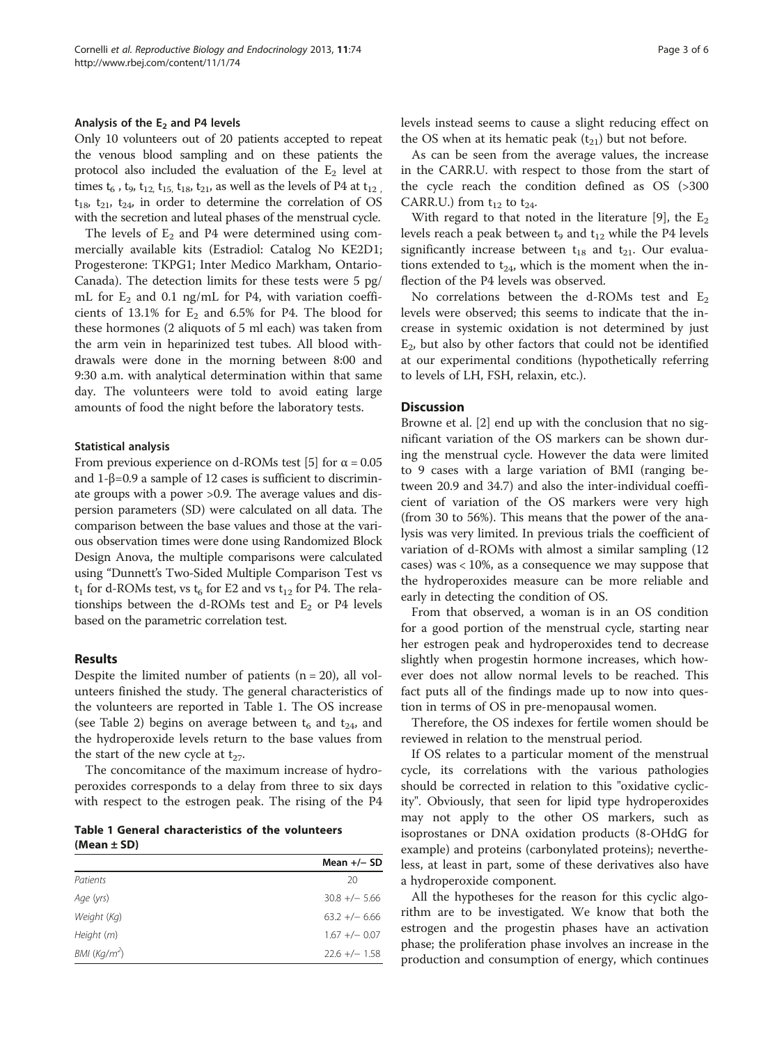#### Analysis of the  $E_2$  and P4 levels

Only 10 volunteers out of 20 patients accepted to repeat the venous blood sampling and on these patients the protocol also included the evaluation of the  $E_2$  level at times  $t_6$ ,  $t_9$ ,  $t_{12}$ ,  $t_{15}$ ,  $t_{18}$ ,  $t_{21}$ , as well as the levels of P4 at  $t_{12}$ .  $t_{18}$ ,  $t_{21}$ ,  $t_{24}$ , in order to determine the correlation of OS with the secretion and luteal phases of the menstrual cycle.

The levels of  $E_2$  and P4 were determined using commercially available kits (Estradiol: Catalog No KE2D1; Progesterone: TKPG1; Inter Medico Markham, Ontario-Canada). The detection limits for these tests were 5 pg/ mL for  $E_2$  and 0.1 ng/mL for P4, with variation coefficients of  $13.1\%$  for  $E_2$  and  $6.5\%$  for P4. The blood for these hormones (2 aliquots of 5 ml each) was taken from the arm vein in heparinized test tubes. All blood withdrawals were done in the morning between 8:00 and 9:30 a.m. with analytical determination within that same day. The volunteers were told to avoid eating large amounts of food the night before the laboratory tests.

#### Statistical analysis

From previous experience on d-ROMs test [\[5](#page-4-0)] for  $\alpha = 0.05$ and 1-β=0.9 a sample of 12 cases is sufficient to discriminate groups with a power >0.9. The average values and dispersion parameters (SD) were calculated on all data. The comparison between the base values and those at the various observation times were done using Randomized Block Design Anova, the multiple comparisons were calculated using "Dunnett's Two-Sided Multiple Comparison Test vs  $t_1$  for d-ROMs test, vs  $t_6$  for E2 and vs  $t_{12}$  for P4. The relationships between the d-ROMs test and  $E_2$  or P4 levels based on the parametric correlation test.

# Results

Despite the limited number of patients  $(n = 20)$ , all volunteers finished the study. The general characteristics of the volunteers are reported in Table 1. The OS increase (see Table [2\)](#page-3-0) begins on average between  $t_6$  and  $t_{24}$ , and the hydroperoxide levels return to the base values from the start of the new cycle at  $t_{27}$ .

The concomitance of the maximum increase of hydroperoxides corresponds to a delay from three to six days with respect to the estrogen peak. The rising of the P4

Table 1 General characteristics of the volunteers (Mean ± SD)

|                          | Mean $+/-$ SD   |
|--------------------------|-----------------|
| Patients                 | 20              |
| Age (yrs)                | $30.8 + - 5.66$ |
| Weight (Kg)              | $63.2 +/- 6.66$ |
| Height (m)               | $1.67 +/- 0.07$ |
| BMI (Kq/m <sup>2</sup> ) | $22.6 +/- 1.58$ |

levels instead seems to cause a slight reducing effect on the OS when at its hematic peak  $(t_{21})$  but not before.

As can be seen from the average values, the increase in the CARR.U. with respect to those from the start of the cycle reach the condition defined as OS (>300 CARR.U.) from  $t_{12}$  to  $t_{24}$ .

With regard to that noted in the literature [[9\]](#page-4-0), the  $E_2$ levels reach a peak between t<sub>9</sub> and  $t_{12}$  while the P4 levels significantly increase between  $t_{18}$  and  $t_{21}$ . Our evaluations extended to  $t_{24}$ , which is the moment when the inflection of the P4 levels was observed.

No correlations between the d-ROMs test and  $E_2$ levels were observed; this seems to indicate that the increase in systemic oxidation is not determined by just  $E<sub>2</sub>$ , but also by other factors that could not be identified at our experimental conditions (hypothetically referring to levels of LH, FSH, relaxin, etc.).

# **Discussion**

Browne et al. [[2\]](#page-4-0) end up with the conclusion that no significant variation of the OS markers can be shown during the menstrual cycle. However the data were limited to 9 cases with a large variation of BMI (ranging between 20.9 and 34.7) and also the inter-individual coefficient of variation of the OS markers were very high (from 30 to 56%). This means that the power of the analysis was very limited. In previous trials the coefficient of variation of d-ROMs with almost a similar sampling (12 cases) was < 10%, as a consequence we may suppose that the hydroperoxides measure can be more reliable and early in detecting the condition of OS.

From that observed, a woman is in an OS condition for a good portion of the menstrual cycle, starting near her estrogen peak and hydroperoxides tend to decrease slightly when progestin hormone increases, which however does not allow normal levels to be reached. This fact puts all of the findings made up to now into question in terms of OS in pre-menopausal women.

Therefore, the OS indexes for fertile women should be reviewed in relation to the menstrual period.

If OS relates to a particular moment of the menstrual cycle, its correlations with the various pathologies should be corrected in relation to this "oxidative cyclicity". Obviously, that seen for lipid type hydroperoxides may not apply to the other OS markers, such as isoprostanes or DNA oxidation products (8-OHdG for example) and proteins (carbonylated proteins); nevertheless, at least in part, some of these derivatives also have a hydroperoxide component.

All the hypotheses for the reason for this cyclic algorithm are to be investigated. We know that both the estrogen and the progestin phases have an activation phase; the proliferation phase involves an increase in the production and consumption of energy, which continues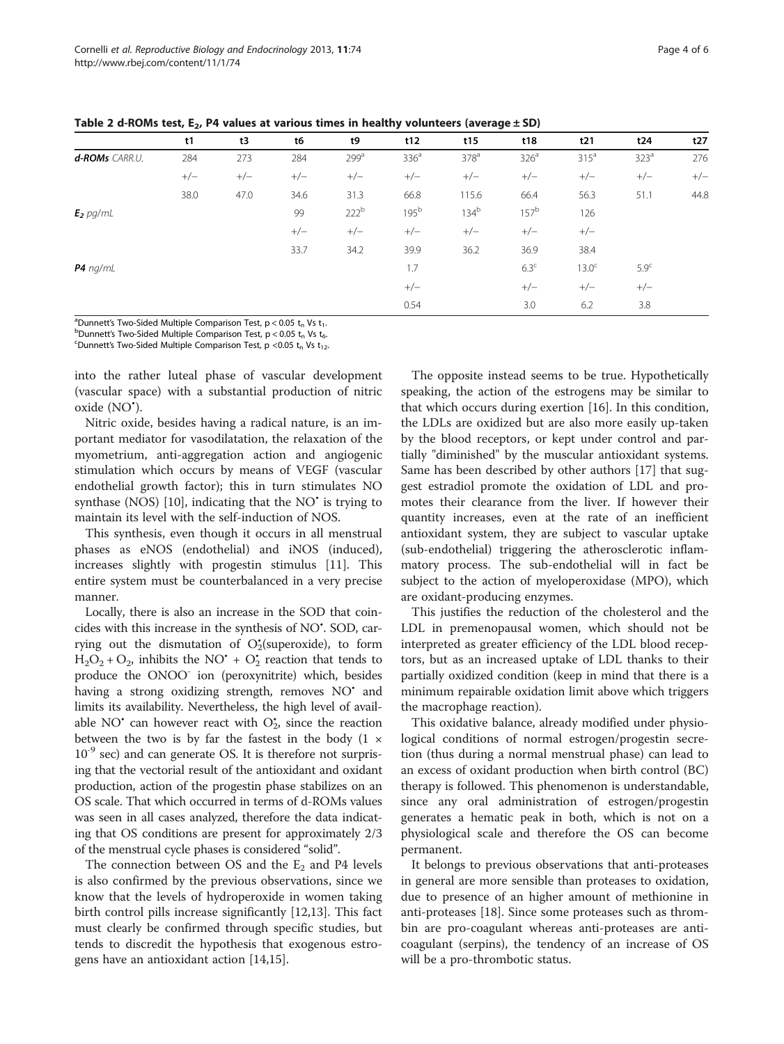<span id="page-3-0"></span>Cornelli et al. Reproductive Biology and Endocrinology 2013, 11:74 Cornelli et al. Reproductive Biology and Endocrinology 2013, 11:74 http://www.rbej.com/content/11/1/74

Table 2 d-ROMs test,  $E_2$ , P4 values at various times in healthy volunteers (average  $\pm$  SD)

|                | t1    | t3    | t6    | t9               | t12              | t15              | t18              | t21               | t24              | t27   |
|----------------|-------|-------|-------|------------------|------------------|------------------|------------------|-------------------|------------------|-------|
| d-ROMs CARR.U. | 284   | 273   | 284   | 299 <sup>a</sup> | 336 <sup>a</sup> | 378 <sup>a</sup> | 326 <sup>a</sup> | 315 <sup>a</sup>  | 323 <sup>a</sup> | 276   |
|                | $+/-$ | $+/-$ | $+/-$ | $+/-$            | $+/-$            | $+/-$            | $+/-$            | $+/-$             | $+/-$            | $+/-$ |
|                | 38.0  | 47.0  | 34.6  | 31.3             | 66.8             | 115.6            | 66.4             | 56.3              | 51.1             | 44.8  |
| $E_2$ pg/mL    |       |       | 99    | 222 <sup>b</sup> | 195 <sup>b</sup> | 134 <sup>b</sup> | $157^b$          | 126               |                  |       |
|                |       |       | $+/-$ | $+/-$            | $+/-$            | $+/-$            | $+/-$            | $+/-$             |                  |       |
|                |       |       | 33.7  | 34.2             | 39.9             | 36.2             | 36.9             | 38.4              |                  |       |
| $P4$ ng/mL     |       |       |       |                  | 1.7              |                  | 6.3 <sup>c</sup> | 13.0 <sup>c</sup> | 5.9 <sup>c</sup> |       |
|                |       |       |       |                  | $+/-$            |                  | $+/-$            | $+/-$             | $+/-$            |       |
|                |       |       |       |                  | 0.54             |                  | 3.0              | 6.2               | 3.8              |       |

<sup>a</sup>Dunnett's Two-Sided Multiple Comparison Test, p < 0.05 t<sub>n</sub> Vs t<sub>1</sub>.<br><sup>b</sup>Dunnett's Two-Sided Multiple Comparison Test, p < 0.05 t, Vs t

 $b$ Dunnett's Two-Sided Multiple Comparison Test, p < 0.05 t<sub>n</sub> Vs t<sub>6</sub>.

 $^{\circ}$ Dunnett's Two-Sided Multiple Comparison Test, p <0.05 t<sub>n</sub> Vs t<sub>12</sub>.

into the rather luteal phase of vascular development (vascular space) with a substantial production of nitric oxide (NO• ).

Nitric oxide, besides having a radical nature, is an important mediator for vasodilatation, the relaxation of the myometrium, anti-aggregation action and angiogenic stimulation which occurs by means of VEGF (vascular endothelial growth factor); this in turn stimulates NO synthase (NOS)  $[10]$  $[10]$ , indicating that the NO $\dot{\ }$  is trying to maintain its level with the self-induction of NOS.

This synthesis, even though it occurs in all menstrual phases as eNOS (endothelial) and iNOS (induced), increases slightly with progestin stimulus [\[11](#page-4-0)]. This entire system must be counterbalanced in a very precise manner.

Locally, there is also an increase in the SOD that coincides with this increase in the synthesis of NO<sup>\*</sup>. SOD, carrying out the dismutation of  $O_2^*(\text{supercxide})$ , to form  $H_2O_2 + O_2$ , inhibits the NO<sup>+</sup> + O<sub>2</sub><sup>+</sup> reaction that tends to produce the ONOO<sup>-</sup> ion (peroxynitrite) which, besides having a strong oxidizing strength, removes NO<sup>•</sup> and limits its availability. Nevertheless, the high level of available NO<sup> $\cdot$ </sup> can however react with  $O_{2}^{\star}$ , since the reaction between the two is by far the fastest in the body  $(1 \times$  $10^{-9}$  sec) and can generate OS. It is therefore not surprising that the vectorial result of the antioxidant and oxidant production, action of the progestin phase stabilizes on an OS scale. That which occurred in terms of d-ROMs values was seen in all cases analyzed, therefore the data indicating that OS conditions are present for approximately 2/3 of the menstrual cycle phases is considered "solid".

The connection between OS and the  $E_2$  and P4 levels is also confirmed by the previous observations, since we know that the levels of hydroperoxide in women taking birth control pills increase significantly [\[12,13\]](#page-4-0). This fact must clearly be confirmed through specific studies, but tends to discredit the hypothesis that exogenous estrogens have an antioxidant action [\[14,15](#page-4-0)].

The opposite instead seems to be true. Hypothetically speaking, the action of the estrogens may be similar to that which occurs during exertion [\[16\]](#page-4-0). In this condition, the LDLs are oxidized but are also more easily up-taken by the blood receptors, or kept under control and partially "diminished" by the muscular antioxidant systems. Same has been described by other authors [[17\]](#page-5-0) that suggest estradiol promote the oxidation of LDL and promotes their clearance from the liver. If however their quantity increases, even at the rate of an inefficient antioxidant system, they are subject to vascular uptake (sub-endothelial) triggering the atherosclerotic inflammatory process. The sub-endothelial will in fact be subject to the action of myeloperoxidase (MPO), which are oxidant-producing enzymes.

This justifies the reduction of the cholesterol and the LDL in premenopausal women, which should not be interpreted as greater efficiency of the LDL blood receptors, but as an increased uptake of LDL thanks to their partially oxidized condition (keep in mind that there is a minimum repairable oxidation limit above which triggers the macrophage reaction).

This oxidative balance, already modified under physiological conditions of normal estrogen/progestin secretion (thus during a normal menstrual phase) can lead to an excess of oxidant production when birth control (BC) therapy is followed. This phenomenon is understandable, since any oral administration of estrogen/progestin generates a hematic peak in both, which is not on a physiological scale and therefore the OS can become permanent.

It belongs to previous observations that anti-proteases in general are more sensible than proteases to oxidation, due to presence of an higher amount of methionine in anti-proteases [\[18\]](#page-5-0). Since some proteases such as thrombin are pro-coagulant whereas anti-proteases are anticoagulant (serpins), the tendency of an increase of OS will be a pro-thrombotic status.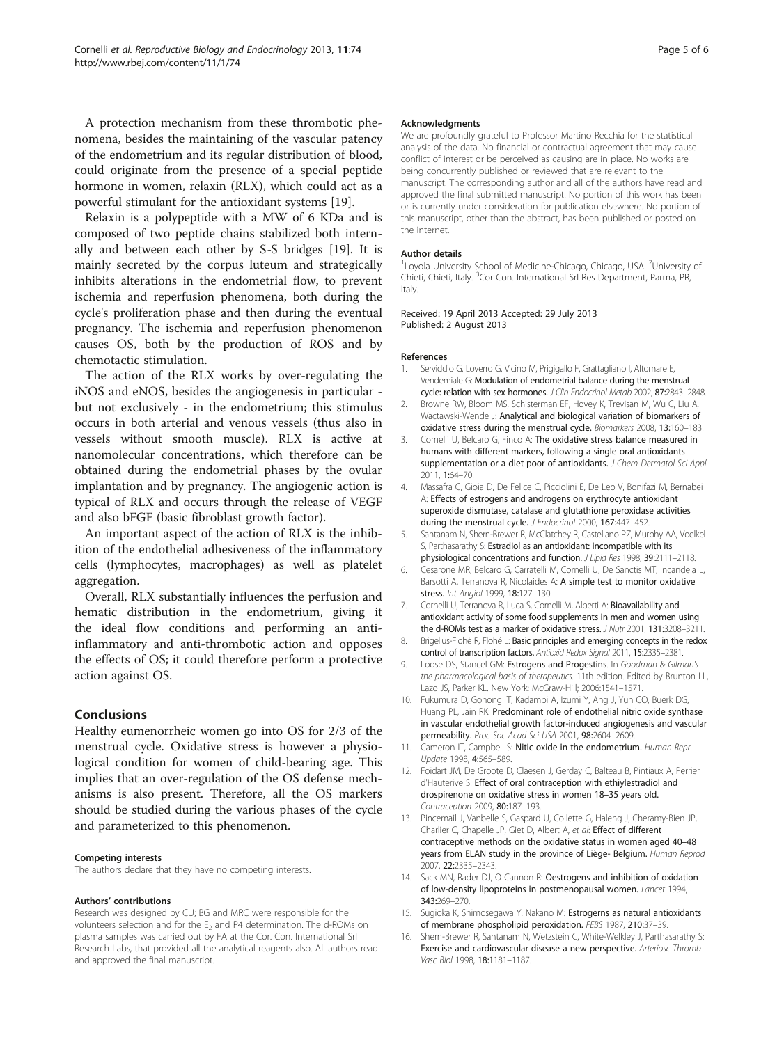<span id="page-4-0"></span>A protection mechanism from these thrombotic phenomena, besides the maintaining of the vascular patency of the endometrium and its regular distribution of blood, could originate from the presence of a special peptide hormone in women, relaxin (RLX), which could act as a powerful stimulant for the antioxidant systems [\[19](#page-5-0)].

Relaxin is a polypeptide with a MW of 6 KDa and is composed of two peptide chains stabilized both internally and between each other by S-S bridges [\[19\]](#page-5-0). It is mainly secreted by the corpus luteum and strategically inhibits alterations in the endometrial flow, to prevent ischemia and reperfusion phenomena, both during the cycle's proliferation phase and then during the eventual pregnancy. The ischemia and reperfusion phenomenon causes OS, both by the production of ROS and by chemotactic stimulation.

The action of the RLX works by over-regulating the iNOS and eNOS, besides the angiogenesis in particular but not exclusively - in the endometrium; this stimulus occurs in both arterial and venous vessels (thus also in vessels without smooth muscle). RLX is active at nanomolecular concentrations, which therefore can be obtained during the endometrial phases by the ovular implantation and by pregnancy. The angiogenic action is typical of RLX and occurs through the release of VEGF and also bFGF (basic fibroblast growth factor).

An important aspect of the action of RLX is the inhibition of the endothelial adhesiveness of the inflammatory cells (lymphocytes, macrophages) as well as platelet aggregation.

Overall, RLX substantially influences the perfusion and hematic distribution in the endometrium, giving it the ideal flow conditions and performing an antiinflammatory and anti-thrombotic action and opposes the effects of OS; it could therefore perform a protective action against OS.

# Conclusions

Healthy eumenorrheic women go into OS for 2/3 of the menstrual cycle. Oxidative stress is however a physiological condition for women of child-bearing age. This implies that an over-regulation of the OS defense mechanisms is also present. Therefore, all the OS markers should be studied during the various phases of the cycle and parameterized to this phenomenon.

#### Competing interests

The authors declare that they have no competing interests.

#### Authors' contributions

Research was designed by CU; BG and MRC were responsible for the volunteers selection and for the  $E_2$  and P4 determination. The d-ROMs on plasma samples was carried out by FA at the Cor. Con. International Srl Research Labs, that provided all the analytical reagents also. All authors read and approved the final manuscript.

#### Acknowledgments

We are profoundly grateful to Professor Martino Recchia for the statistical analysis of the data. No financial or contractual agreement that may cause conflict of interest or be perceived as causing are in place. No works are being concurrently published or reviewed that are relevant to the manuscript. The corresponding author and all of the authors have read and approved the final submitted manuscript. No portion of this work has been or is currently under consideration for publication elsewhere. No portion of this manuscript, other than the abstract, has been published or posted on the internet.

#### Author details

<sup>1</sup> Loyola University School of Medicine-Chicago, Chicago, USA. <sup>2</sup> University of Chieti, Chieti, Italy. <sup>3</sup> Cor Con. International Srl Res Department, Parma, PR Italy.

Received: 19 April 2013 Accepted: 29 July 2013 Published: 2 August 2013

#### References

- 1. Serviddio G, Loverro G, Vicino M, Prigigallo F, Grattagliano I, Altomare E, Vendemiale G: Modulation of endometrial balance during the menstrual cycle: relation with sex hormones. J Clin Endocrinol Metab 2002, 87:2843-2848.
- 2. Browne RW, Bloom MS, Schisterman EF, Hovey K, Trevisan M, Wu C, Liu A, Wactawski-Wende J: Analytical and biological variation of biomarkers of oxidative stress during the menstrual cycle. Biomarkers 2008, 13:160–183.
- 3. Cornelli U, Belcaro G, Finco A: The oxidative stress balance measured in humans with different markers, following a single oral antioxidants supplementation or a diet poor of antioxidants. J Chem Dermatol Sci Appl 2011, 1:64–70.
- 4. Massafra C, Gioia D, De Felice C, Picciolini E, De Leo V, Bonifazi M, Bernabei A: Effects of estrogens and androgens on erythrocyte antioxidant superoxide dismutase, catalase and glutathione peroxidase activities during the menstrual cycle. J Endocrinol 2000, 167:447-452.
- 5. Santanam N, Shern-Brewer R, McClatchey R, Castellano PZ, Murphy AA, Voelkel S, Parthasarathy S: Estradiol as an antioxidant: incompatible with its physiological concentrations and function. J Lipid Res 1998, 39:2111–2118.
- 6. Cesarone MR, Belcaro G, Carratelli M, Cornelli U, De Sanctis MT, Incandela L, Barsotti A, Terranova R, Nicolaides A: A simple test to monitor oxidative stress. Int Angiol 1999, 18:127–130.
- 7. Cornelli U, Terranova R, Luca S, Cornelli M, Alberti A: Bioavailability and antioxidant activity of some food supplements in men and women using the d-ROMs test as a marker of oxidative stress. J Nutr 2001, 131:3208–3211.
- 8. Brigelius-Flohè R, Flohé L: Basic principles and emerging concepts in the redox control of transcription factors. Antioxid Redox Signal 2011, 15:2335–2381.
- 9. Loose DS, Stancel GM: Estrogens and Progestins. In Goodman & Gilman's the pharmacological basis of therapeutics. 11th edition. Edited by Brunton LL, Lazo JS, Parker KL. New York: McGraw-Hill; 2006:1541–1571.
- 10. Fukumura D, Gohongi T, Kadambi A, Izumi Y, Ang J, Yun CO, Buerk DG, Huang PL, Jain RK: Predominant role of endothelial nitric oxide synthase in vascular endothelial growth factor-induced angiogenesis and vascular permeability. Proc Soc Acad Sci USA 2001, 98:2604–2609.
- 11. Cameron IT, Campbell S: Nitic oxide in the endometrium. Human Repr Update 1998, 4:565–589.
- 12. Foidart JM, De Groote D, Claesen J, Gerday C, Balteau B, Pintiaux A, Perrier d'Hauterive S: Effect of oral contraception with ethiylestradiol and drospirenone on oxidative stress in women 18–35 years old. Contraception 2009, 80:187-193
- 13. Pincemail J, Vanbelle S, Gaspard U, Collette G, Haleng J, Cheramy-Bien JP, Charlier C, Chapelle JP, Giet D, Albert A, et al: Effect of different contraceptive methods on the oxidative status in women aged 40–48 years from ELAN study in the province of Liège- Belgium. Human Reprod 2007, 22:2335–2343.
- 14. Sack MN, Rader DJ, O Cannon R: Oestrogens and inhibition of oxidation of low-density lipoproteins in postmenopausal women. Lancet 1994, 343:269–270.
- 15. Sugioka K, Shimosegawa Y, Nakano M: Estrogerns as natural antioxidants of membrane phospholipid peroxidation. FEBS 1987, 210:37–39.
- 16. Shern-Brewer R, Santanam N, Wetzstein C, White-Welkley J, Parthasarathy S: Exercise and cardiovascular disease a new perspective. Arteriosc Thromb Vasc Biol 1998, 18:1181–1187.